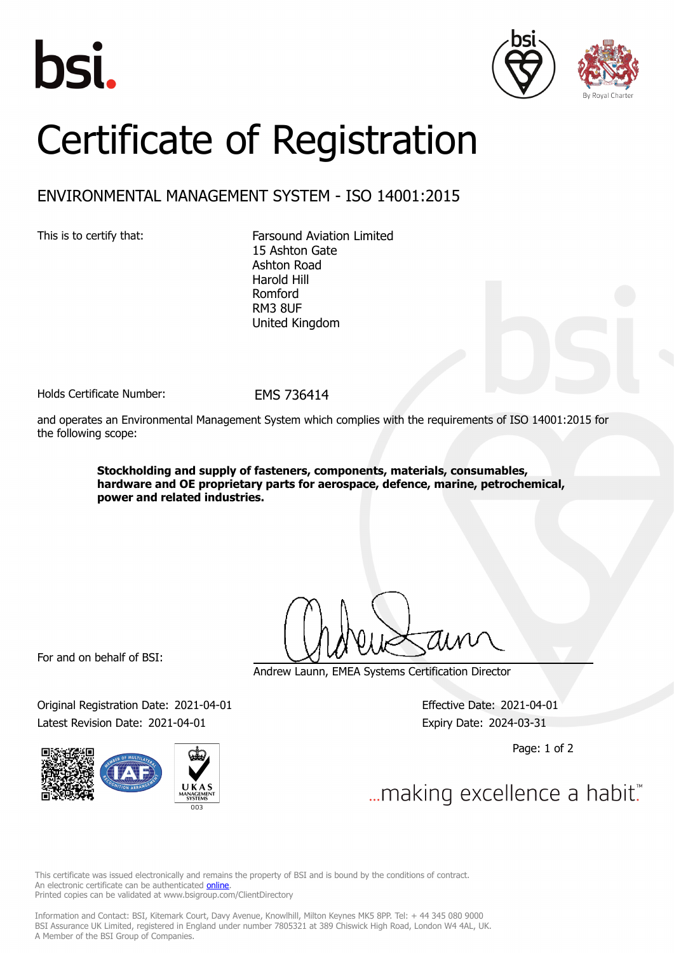





## Certificate of Registration

## ENVIRONMENTAL MANAGEMENT SYSTEM - ISO 14001:2015

This is to certify that: Farsound Aviation Limited 15 Ashton Gate Ashton Road Harold Hill Romford RM3 8UF United Kingdom

Holds Certificate Number: FMS 736414

and operates an Environmental Management System which complies with the requirements of ISO 14001:2015 for the following scope:

> **Stockholding and supply of fasteners, components, materials, consumables, hardware and OE proprietary parts for aerospace, defence, marine, petrochemical, power and related industries.**

For and on behalf of BSI:

Original Registration Date: 2021-04-01 Effective Date: 2021-04-01 Latest Revision Date: 2021-04-01 Expiry Date: 2024-03-31



Andrew Launn, EMEA Systems Certification Director

Page: 1 of 2

... making excellence a habit."

This certificate was issued electronically and remains the property of BSI and is bound by the conditions of contract. An electronic certificate can be authenticated **[online](https://pgplus.bsigroup.com/CertificateValidation/CertificateValidator.aspx?CertificateNumber=EMS+736414&ReIssueDate=01%2f04%2f2021&Template=uk)**. Printed copies can be validated at www.bsigroup.com/ClientDirectory

Information and Contact: BSI, Kitemark Court, Davy Avenue, Knowlhill, Milton Keynes MK5 8PP. Tel: + 44 345 080 9000 BSI Assurance UK Limited, registered in England under number 7805321 at 389 Chiswick High Road, London W4 4AL, UK. A Member of the BSI Group of Companies.